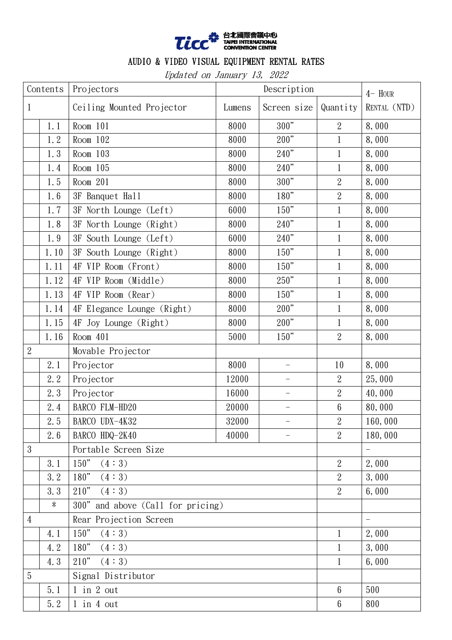

## AUDIO & VIDEO VISUAL EQUIPMENT RENTAL RATES

Updated on January 13, 2022

| Contents       |        | Projectors                        | Description |                          |                 | $4-$ HOUR                |
|----------------|--------|-----------------------------------|-------------|--------------------------|-----------------|--------------------------|
| $\mathbf{1}$   |        | Ceiling Mounted Projector         | Lumens      | Screen size              | Quantity        | RENTAL (NTD)             |
|                | 1.1    | $Room$ 101                        | 8000        | 300"                     | $\overline{2}$  | 8,000                    |
|                | 1.2    | Room 102                          | 8000        | 200"                     | $\mathbf{1}$    | 8,000                    |
|                | 1.3    | Room $103$                        | 8000        | 240"                     | $\mathbf{1}$    | 8,000                    |
|                | 1.4    | Room $105$                        | 8000        | 240"                     | $\mathbf{1}$    | 8,000                    |
|                | 1.5    | Room $201$                        | 8000        | 300"                     | $\sqrt{2}$      | 8,000                    |
|                | 1.6    | 3F Banquet Hall                   | 8000        | 180"                     | $\overline{2}$  | 8,000                    |
|                | 1.7    | 3F North Lounge (Left)            | 6000        | 150"                     | $\mathbf{1}$    | 8,000                    |
|                | 1.8    | 3F North Lounge (Right)           | 8000        | 240"                     | $\mathbf 1$     | 8,000                    |
|                | 1.9    | 3F South Lounge (Left)            | 6000        | 240"                     | $\mathbf{1}$    | 8,000                    |
|                | 1.10   | 3F South Lounge (Right)           | 8000        | $150"$                   | 1               | 8,000                    |
|                | 1.11   | 4F VIP Room (Front)               | 8000        | 150"                     | $\mathbf{1}$    | 8,000                    |
|                | 1.12   | 4F VIP Room (Middle)              | 8000        | 250"                     | $\mathbf{1}$    | 8,000                    |
|                | 1.13   | 4F VIP Room (Rear)                | 8000        | 150"                     | $\mathbf{1}$    | 8,000                    |
|                | 1.14   | 4F Elegance Lounge (Right)        | 8000        | 200"                     | $\mathbf{1}$    | 8,000                    |
|                | 1.15   | 4F Joy Lounge (Right)             | 8000        | $200"$                   | $\mathbf{1}$    | 8,000                    |
|                | 1.16   | Room $401$                        | 5000        | 150"                     | $\overline{2}$  | 8,000                    |
| $\sqrt{2}$     |        | Movable Projector                 |             |                          |                 |                          |
|                | 2.1    | Projector                         | 8000        | $\overline{\phantom{0}}$ | 10              | 8,000                    |
|                | 2.2    | Projector                         | 12000       |                          | $\mathbf{2}$    | 25,000                   |
|                | 2.3    | Projector                         | 16000       | $\overline{\phantom{0}}$ | $\overline{2}$  | 40,000                   |
|                | 2.4    | BARCO FLM-HD20                    | 20000       | $\qquad \qquad -$        | $6\phantom{.}6$ | 80,000                   |
|                | 2.5    | BARCO UDX-4K32                    | 32000       |                          | $\mathbf{2}$    | 160,000                  |
|                | 2.6    | BARCO HDQ-2K40                    | 40000       |                          | $\overline{2}$  | 180,000                  |
| 3              |        | Portable Screen Size              |             |                          |                 | $\overline{\phantom{0}}$ |
|                | 3.1    | (4:3)<br>150"                     |             |                          | $\overline{2}$  | 2,000                    |
|                | 3.2    | $180"$<br>(4:3)                   |             |                          | $\overline{2}$  | 3,000                    |
|                | 3.3    | 210"<br>(4:3)                     |             |                          | $\overline{2}$  | 6,000                    |
|                | $\ast$ | 300" and above (Call for pricing) |             |                          |                 |                          |
| $\overline{4}$ |        | Rear Projection Screen            |             |                          |                 | $\overline{\phantom{0}}$ |
|                | 4.1    | 150"<br>(4:3)                     |             |                          | $\mathbf{1}$    | 2,000                    |
|                | 4.2    | 180"<br>(4:3)                     |             |                          | 1               | 3,000                    |
|                | 4.3    | 210"<br>(4:3)                     |             |                          | $\mathbf{1}$    | 6,000                    |
| 5              |        | Signal Distributor                |             |                          |                 |                          |
|                | 5.1    | $1$ in $2$ out                    |             |                          | $6\phantom{.}$  | 500                      |
|                | 5.2    | $1$ in $4$ out                    |             |                          | $6\phantom{.0}$ | 800                      |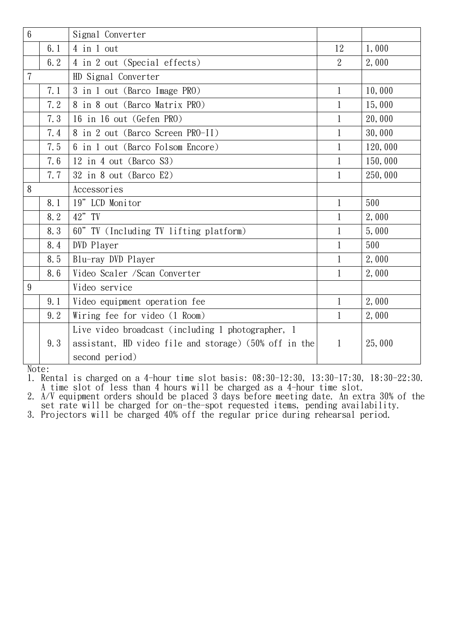| 1,000<br>2,000 |
|----------------|
|                |
|                |
|                |
| 10,000         |
| 15,000         |
| 20,000         |
| 30,000         |
| 120,000        |
| 150,000        |
| 250,000        |
|                |
| 500            |
| 2,000          |
| 5,000          |
| 500            |
| 2,000          |
| 2,000          |
|                |
| 2,000          |
| 2,000          |
|                |
| 25,000         |
|                |

Note:

1. Rental is charged on a 4-hour time slot basis: 08:30-12:30, 13:30-17:30, 18:30-22:30. A time slot of less than 4 hours will be charged as a 4-hour time slot.

2. A/V equipment orders should be placed 3 days before meeting date. An extra 30% of the set rate will be charged for on-the-spot requested items, pending availability.

3. Projectors will be charged 40% off the regular price during rehearsal period.